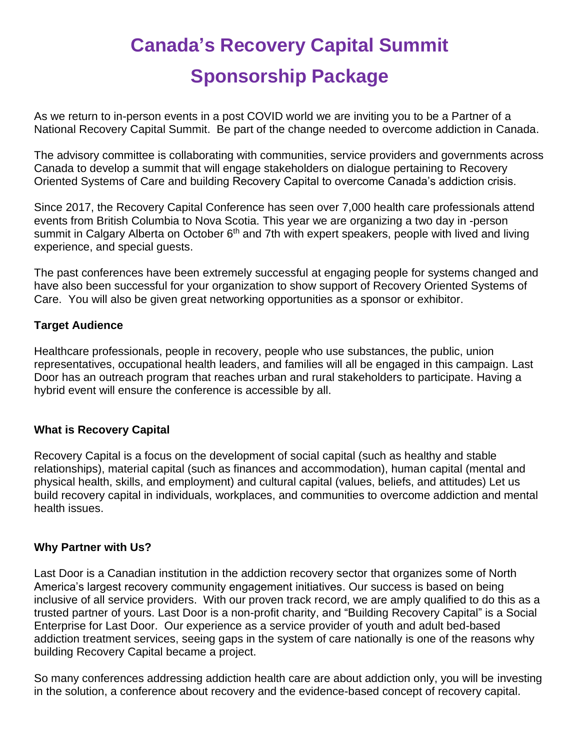# **Canada's Recovery Capital Summit Sponsorship Package**

As we return to in-person events in a post COVID world we are inviting you to be a Partner of a National Recovery Capital Summit. Be part of the change needed to overcome addiction in Canada.

The advisory committee is collaborating with communities, service providers and governments across Canada to develop a summit that will engage stakeholders on dialogue pertaining to Recovery Oriented Systems of Care and building Recovery Capital to overcome Canada's addiction crisis.

Since 2017, the Recovery Capital Conference has seen over 7,000 health care professionals attend events from British Columbia to Nova Scotia. This year we are organizing a two day in -person summit in Calgary Alberta on October  $6<sup>th</sup>$  and 7th with expert speakers, people with lived and living experience, and special guests.

The past conferences have been extremely successful at engaging people for systems changed and have also been successful for your organization to show support of Recovery Oriented Systems of Care. You will also be given great networking opportunities as a sponsor or exhibitor.

# **Target Audience**

Healthcare professionals, people in recovery, people who use substances, the public, union representatives, occupational health leaders, and families will all be engaged in this campaign. Last Door has an outreach program that reaches urban and rural stakeholders to participate. Having a hybrid event will ensure the conference is accessible by all.

## **What is Recovery Capital**

Recovery Capital is a focus on the development of social capital (such as healthy and stable relationships), material capital (such as finances and accommodation), human capital (mental and physical health, skills, and employment) and cultural capital (values, beliefs, and attitudes) Let us build recovery capital in individuals, workplaces, and communities to overcome addiction and mental health issues.

## **Why Partner with Us?**

Last Door is a Canadian institution in the addiction recovery sector that organizes some of North America's largest recovery community engagement initiatives. Our success is based on being inclusive of all service providers. With our proven track record, we are amply qualified to do this as a trusted partner of yours. Last Door is a non-profit charity, and "Building Recovery Capital" is a Social Enterprise for Last Door. Our experience as a service provider of youth and adult bed-based addiction treatment services, seeing gaps in the system of care nationally is one of the reasons why building Recovery Capital became a project.

So many conferences addressing addiction health care are about addiction only, you will be investing in the solution, a conference about recovery and the evidence-based concept of recovery capital.